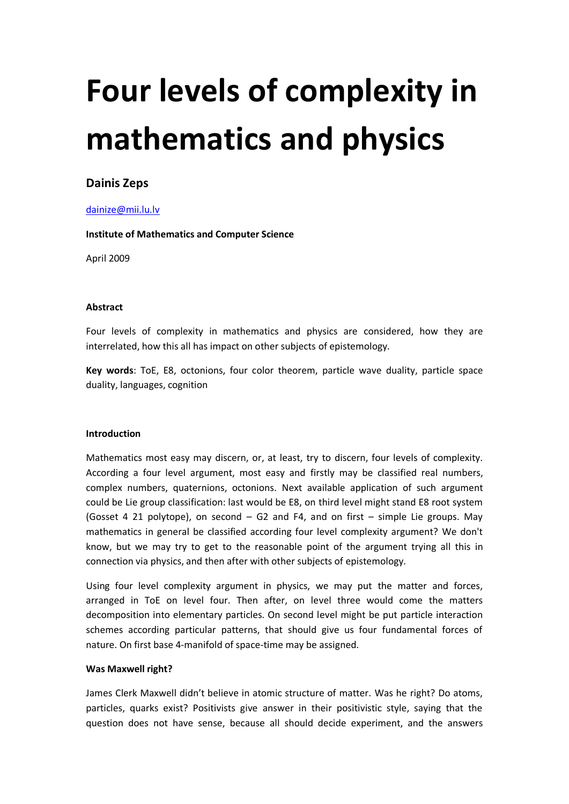# **Four levels of complexity in mathematics and physics**

# **Dainis Zeps**

# [dainize@mii.lu.lv](mailto:dainis.zeps@lumii.lv)

**Institute of Mathematics and Computer Science**

April 2009

## **Abstract**

Four levels of complexity in mathematics and physics are considered, how they are interrelated, how this all has impact on other subjects of epistemology.

**Key words**: ToE, E8, octonions, four color theorem, particle wave duality, particle space duality, languages, cognition

## **Introduction**

Mathematics most easy may discern, or, at least, try to discern, four levels of complexity. According a four level argument, most easy and firstly may be classified real numbers, complex numbers, quaternions, octonions. Next available application of such argument could be Lie group classification: last would be E8, on third level might stand E8 root system (Gosset 4 21 polytope), on second – G2 and F4, and on first – simple Lie groups. May mathematics in general be classified according four level complexity argument? We don't know, but we may try to get to the reasonable point of the argument trying all this in connection via physics, and then after with other subjects of epistemology.

Using four level complexity argument in physics, we may put the matter and forces, arranged in ToE on level four. Then after, on level three would come the matters decomposition into elementary particles. On second level might be put particle interaction schemes according particular patterns, that should give us four fundamental forces of nature. On first base 4-manifold of space-time may be assigned.

## **Was Maxwell right?**

James Clerk Maxwell didn't believe in atomic structure of matter. Was he right? Do atoms, particles, quarks exist? Positivists give answer in their positivistic style, saying that the question does not have sense, because all should decide experiment, and the answers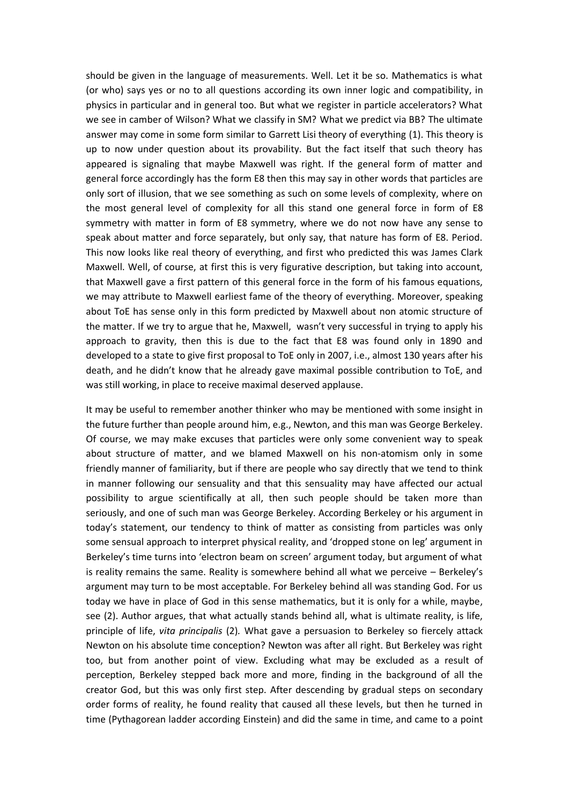should be given in the language of measurements. Well. Let it be so. Mathematics is what (or who) says yes or no to all questions according its own inner logic and compatibility, in physics in particular and in general too. But what we register in particle accelerators? What we see in camber of Wilson? What we classify in SM? What we predict via BB? The ultimate answer may come in some form similar to Garrett Lisi theory of everything (1). This theory is up to now under question about its provability. But the fact itself that such theory has appeared is signaling that maybe Maxwell was right. If the general form of matter and general force accordingly has the form E8 then this may say in other words that particles are only sort of illusion, that we see something as such on some levels of complexity, where on the most general level of complexity for all this stand one general force in form of E8 symmetry with matter in form of E8 symmetry, where we do not now have any sense to speak about matter and force separately, but only say, that nature has form of E8. Period. This now looks like real theory of everything, and first who predicted this was James Clark Maxwell. Well, of course, at first this is very figurative description, but taking into account, that Maxwell gave a first pattern of this general force in the form of his famous equations, we may attribute to Maxwell earliest fame of the theory of everything. Moreover, speaking about ToE has sense only in this form predicted by Maxwell about non atomic structure of the matter. If we try to argue that he, Maxwell, wasn't very successful in trying to apply his approach to gravity, then this is due to the fact that E8 was found only in 1890 and developed to a state to give first proposal to ToE only in 2007, i.e., almost 130 years after his death, and he didn't know that he already gave maximal possible contribution to ToE, and was still working, in place to receive maximal deserved applause.

It may be useful to remember another thinker who may be mentioned with some insight in the future further than people around him, e.g., Newton, and this man was George Berkeley. Of course, we may make excuses that particles were only some convenient way to speak about structure of matter, and we blamed Maxwell on his non-atomism only in some friendly manner of familiarity, but if there are people who say directly that we tend to think in manner following our sensuality and that this sensuality may have affected our actual possibility to argue scientifically at all, then such people should be taken more than seriously, and one of such man was George Berkeley. According Berkeley or his argument in today's statement, our tendency to think of matter as consisting from particles was only some sensual approach to interpret physical reality, and 'dropped stone on leg' argument in Berkeley's time turns into 'electron beam on screen' argument today, but argument of what is reality remains the same. Reality is somewhere behind all what we perceive – Berkeley's argument may turn to be most acceptable. For Berkeley behind all was standing God. For us today we have in place of God in this sense mathematics, but it is only for a while, maybe, see (2). Author argues, that what actually stands behind all, what is ultimate reality, is life, principle of life, *vita principalis* (2)*.* What gave a persuasion to Berkeley so fiercely attack Newton on his absolute time conception? Newton was after all right. But Berkeley was right too, but from another point of view. Excluding what may be excluded as a result of perception, Berkeley stepped back more and more, finding in the background of all the creator God, but this was only first step. After descending by gradual steps on secondary order forms of reality, he found reality that caused all these levels, but then he turned in time (Pythagorean ladder according Einstein) and did the same in time, and came to a point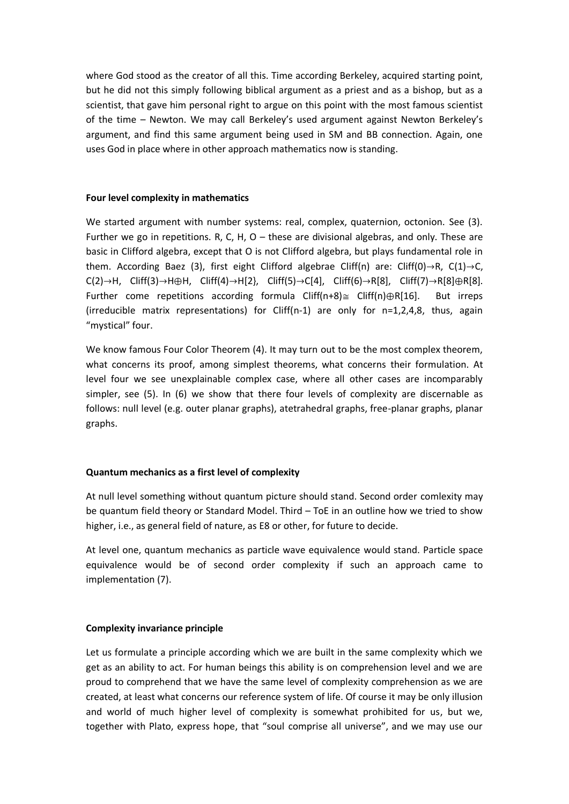where God stood as the creator of all this. Time according Berkeley, acquired starting point, but he did not this simply following biblical argument as a priest and as a bishop, but as a scientist, that gave him personal right to argue on this point with the most famous scientist of the time – Newton. We may call Berkeley's used argument against Newton Berkeley's argument, and find this same argument being used in SM and BB connection. Again, one uses God in place where in other approach mathematics now is standing.

#### **Four level complexity in mathematics**

We started argument with number systems: real, complex, quaternion, octonion. See (3). Further we go in repetitions. R, C, H,  $O -$  these are divisional algebras, and only. These are basic in Clifford algebra, except that O is not Clifford algebra, but plays fundamental role in them. According Baez (3), first eight Clifford algebrae Cliff(n) are: Cliff(0) $\rightarrow$ R, C(1) $\rightarrow$ C,  $C(2) \rightarrow H$ , Cliff(3) $\rightarrow$ H $\oplus$ H, Cliff(4) $\rightarrow$ H[2}, Cliff(5) $\rightarrow$ C[4], Cliff(6) $\rightarrow$ R[8], Cliff(7) $\rightarrow$ R[8] $\oplus$ R[8]. Further come repetitions according formula Cliff(n+8) $\cong$  Cliff(n) $\bigoplus R[16]$ . But irreps (irreducible matrix representations) for Cliff(n-1) are only for n=1,2,4,8, thus, again "mystical" four.

We know famous Four Color Theorem (4). It may turn out to be the most complex theorem, what concerns its proof, among simplest theorems, what concerns their formulation. At level four we see unexplainable complex case, where all other cases are incomparably simpler, see (5). In (6) we show that there four levels of complexity are discernable as follows: null level (e.g. outer planar graphs), atetrahedral graphs, free-planar graphs, planar graphs.

## **Quantum mechanics as a first level of complexity**

At null level something without quantum picture should stand. Second order comlexity may be quantum field theory or Standard Model. Third – ToE in an outline how we tried to show higher, i.e., as general field of nature, as E8 or other, for future to decide.

At level one, quantum mechanics as particle wave equivalence would stand. Particle space equivalence would be of second order complexity if such an approach came to implementation (7).

#### **Complexity invariance principle**

Let us formulate a principle according which we are built in the same complexity which we get as an ability to act. For human beings this ability is on comprehension level and we are proud to comprehend that we have the same level of complexity comprehension as we are created, at least what concerns our reference system of life. Of course it may be only illusion and world of much higher level of complexity is somewhat prohibited for us, but we, together with Plato, express hope, that "soul comprise all universe", and we may use our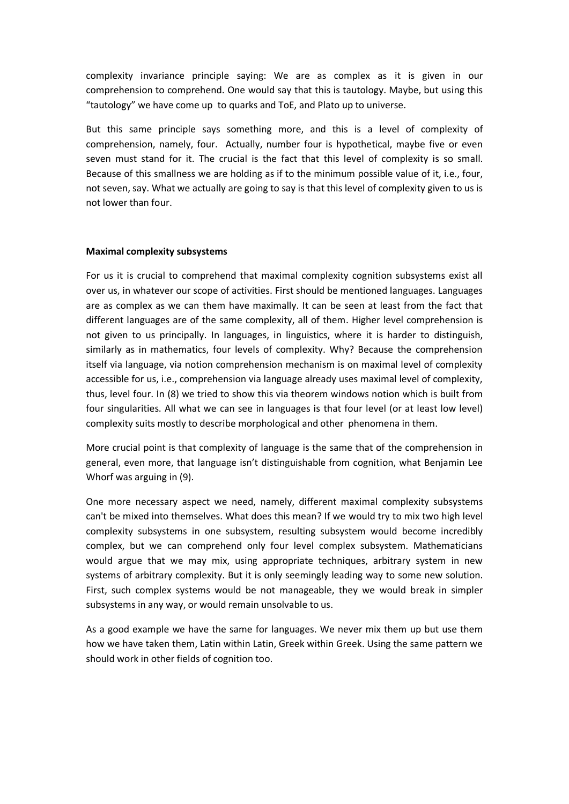complexity invariance principle saying: We are as complex as it is given in our comprehension to comprehend. One would say that this is tautology. Maybe, but using this "tautology" we have come up to quarks and ToE, and Plato up to universe.

But this same principle says something more, and this is a level of complexity of comprehension, namely, four. Actually, number four is hypothetical, maybe five or even seven must stand for it. The crucial is the fact that this level of complexity is so small. Because of this smallness we are holding as if to the minimum possible value of it, i.e., four, not seven, say. What we actually are going to say is that this level of complexity given to us is not lower than four.

## **Maximal complexity subsystems**

For us it is crucial to comprehend that maximal complexity cognition subsystems exist all over us, in whatever our scope of activities. First should be mentioned languages. Languages are as complex as we can them have maximally. It can be seen at least from the fact that different languages are of the same complexity, all of them. Higher level comprehension is not given to us principally. In languages, in linguistics, where it is harder to distinguish, similarly as in mathematics, four levels of complexity. Why? Because the comprehension itself via language, via notion comprehension mechanism is on maximal level of complexity accessible for us, i.e., comprehension via language already uses maximal level of complexity, thus, level four. In (8) we tried to show this via theorem windows notion which is built from four singularities. All what we can see in languages is that four level (or at least low level) complexity suits mostly to describe morphological and other phenomena in them.

More crucial point is that complexity of language is the same that of the comprehension in general, even more, that language isn't distinguishable from cognition, what Benjamin Lee Whorf was arguing in (9).

One more necessary aspect we need, namely, different maximal complexity subsystems can't be mixed into themselves. What does this mean? If we would try to mix two high level complexity subsystems in one subsystem, resulting subsystem would become incredibly complex, but we can comprehend only four level complex subsystem. Mathematicians would argue that we may mix, using appropriate techniques, arbitrary system in new systems of arbitrary complexity. But it is only seemingly leading way to some new solution. First, such complex systems would be not manageable, they we would break in simpler subsystems in any way, or would remain unsolvable to us.

As a good example we have the same for languages. We never mix them up but use them how we have taken them, Latin within Latin, Greek within Greek. Using the same pattern we should work in other fields of cognition too.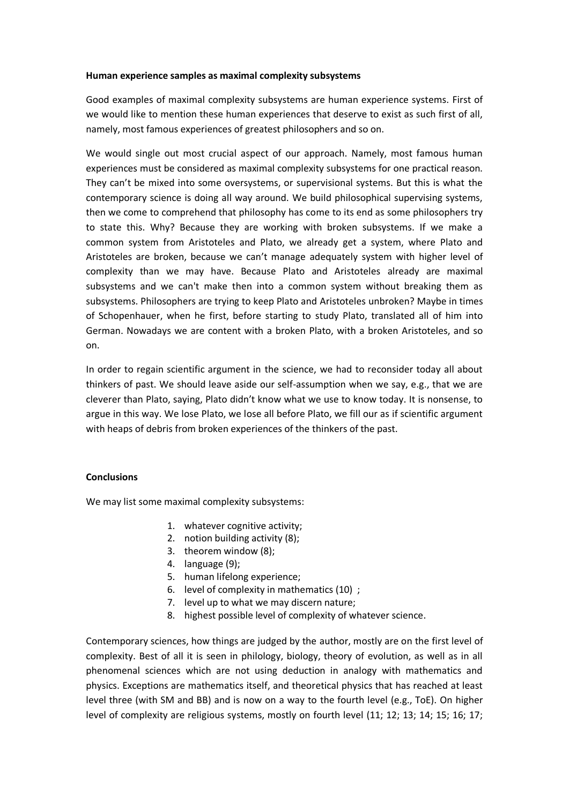#### **Human experience samples as maximal complexity subsystems**

Good examples of maximal complexity subsystems are human experience systems. First of we would like to mention these human experiences that deserve to exist as such first of all, namely, most famous experiences of greatest philosophers and so on.

We would single out most crucial aspect of our approach. Namely, most famous human experiences must be considered as maximal complexity subsystems for one practical reason. They can't be mixed into some oversystems, or supervisional systems. But this is what the contemporary science is doing all way around. We build philosophical supervising systems, then we come to comprehend that philosophy has come to its end as some philosophers try to state this. Why? Because they are working with broken subsystems. If we make a common system from Aristoteles and Plato, we already get a system, where Plato and Aristoteles are broken, because we can't manage adequately system with higher level of complexity than we may have. Because Plato and Aristoteles already are maximal subsystems and we can't make then into a common system without breaking them as subsystems. Philosophers are trying to keep Plato and Aristoteles unbroken? Maybe in times of Schopenhauer, when he first, before starting to study Plato, translated all of him into German. Nowadays we are content with a broken Plato, with a broken Aristoteles, and so on.

In order to regain scientific argument in the science, we had to reconsider today all about thinkers of past. We should leave aside our self-assumption when we say, e.g., that we are cleverer than Plato, saying, Plato didn't know what we use to know today. It is nonsense, to argue in this way. We lose Plato, we lose all before Plato, we fill our as if scientific argument with heaps of debris from broken experiences of the thinkers of the past.

## **Conclusions**

We may list some maximal complexity subsystems:

- 1. whatever cognitive activity;
- 2. notion building activity (8);
- 3. theorem window (8);
- 4. language (9);
- 5. human lifelong experience;
- 6. level of complexity in mathematics (10) ;
- 7. level up to what we may discern nature;
- 8. highest possible level of complexity of whatever science.

Contemporary sciences, how things are judged by the author, mostly are on the first level of complexity. Best of all it is seen in philology, biology, theory of evolution, as well as in all phenomenal sciences which are not using deduction in analogy with mathematics and physics. Exceptions are mathematics itself, and theoretical physics that has reached at least level three (with SM and BB) and is now on a way to the fourth level (e.g., ToE). On higher level of complexity are religious systems, mostly on fourth level (11; 12; 13; 14; 15; 16; 17;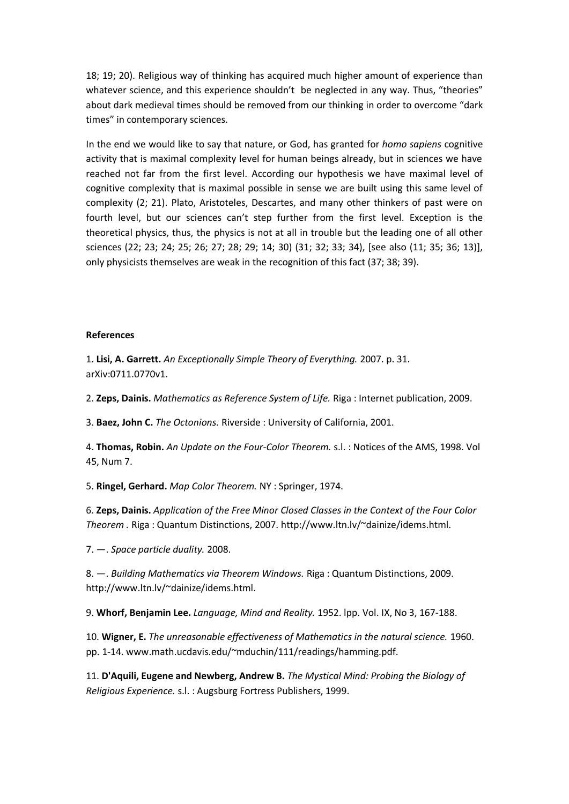18; 19; 20). Religious way of thinking has acquired much higher amount of experience than whatever science, and this experience shouldn't be neglected in any way. Thus, "theories" about dark medieval times should be removed from our thinking in order to overcome "dark times" in contemporary sciences.

In the end we would like to say that nature, or God, has granted for *homo sapiens* cognitive activity that is maximal complexity level for human beings already, but in sciences we have reached not far from the first level. According our hypothesis we have maximal level of cognitive complexity that is maximal possible in sense we are built using this same level of complexity (2; 21). Plato, Aristoteles, Descartes, and many other thinkers of past were on fourth level, but our sciences can't step further from the first level. Exception is the theoretical physics, thus, the physics is not at all in trouble but the leading one of all other sciences (22; 23; 24; 25; 26; 27; 28; 29; 14; 30) (31; 32; 33; 34), [see also (11; 35; 36; 13)], only physicists themselves are weak in the recognition of this fact (37; 38; 39).

#### **References**

1. **Lisi, A. Garrett.** *An Exceptionally Simple Theory of Everything.* 2007. p. 31. arXiv:0711.0770v1.

2. **Zeps, Dainis.** *Mathematics as Reference System of Life.* Riga : Internet publication, 2009.

3. **Baez, John C.** *The Octonions.* Riverside : University of California, 2001.

4. **Thomas, Robin.** *An Update on the Four-Color Theorem.* s.l. : Notices of the AMS, 1998. Vol 45, Num 7.

5. **Ringel, Gerhard.** *Map Color Theorem.* NY : Springer, 1974.

6. **Zeps, Dainis.** *Application of the Free Minor Closed Classes in the Context of the Four Color Theorem .* Riga : Quantum Distinctions, 2007. http://www.ltn.lv/~dainize/idems.html.

7. —. *Space particle duality.* 2008.

8. —. *Building Mathematics via Theorem Windows.* Riga : Quantum Distinctions, 2009. http://www.ltn.lv/~dainize/idems.html.

9. **Whorf, Benjamin Lee.** *Language, Mind and Reality.* 1952. lpp. Vol. IX, No 3, 167-188.

10. **Wigner, E.** *The unreasonable effectiveness of Mathematics in the natural science.* 1960. pp. 1-14. www.math.ucdavis.edu/~mduchin/111/readings/hamming.pdf.

11. **D'Aquili, Eugene and Newberg, Andrew B.** *The Mystical Mind: Probing the Biology of Religious Experience.* s.l. : Augsburg Fortress Publishers, 1999.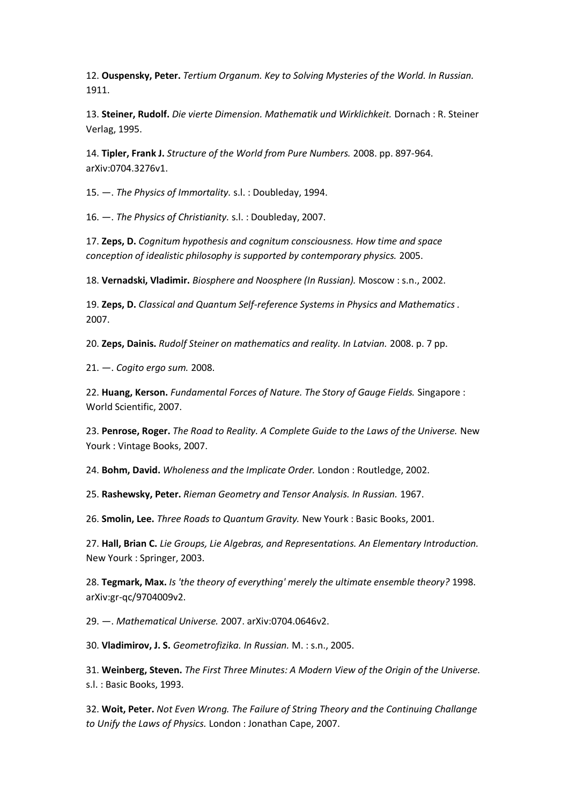12. **Ouspensky, Peter.** *Tertium Organum. Key to Solving Mysteries of the World. In Russian.*  1911.

13. **Steiner, Rudolf.** *Die vierte Dimension. Mathematik und Wirklichkeit.* Dornach : R. Steiner Verlag, 1995.

14. **Tipler, Frank J.** *Structure of the World from Pure Numbers.* 2008. pp. 897-964. arXiv:0704.3276v1.

15. —. *The Physics of Immortality.* s.l. : Doubleday, 1994.

16. —. *The Physics of Christianity.* s.l. : Doubleday, 2007.

17. **Zeps, D.** *Cognitum hypothesis and cognitum consciousness. How time and space conception of idealistic philosophy is supported by contemporary physics.* 2005.

18. **Vernadski, Vladimir.** *Biosphere and Noosphere (In Russian).* Moscow : s.n., 2002.

19. **Zeps, D.** *Classical and Quantum Self-reference Systems in Physics and Mathematics .*  2007.

20. **Zeps, Dainis.** *Rudolf Steiner on mathematics and reality. In Latvian.* 2008. p. 7 pp.

21. —. *Cogito ergo sum.* 2008.

22. **Huang, Kerson.** *Fundamental Forces of Nature. The Story of Gauge Fields.* Singapore : World Scientific, 2007.

23. **Penrose, Roger.** *The Road to Reality. A Complete Guide to the Laws of the Universe.* New Yourk : Vintage Books, 2007.

24. **Bohm, David.** *Wholeness and the Implicate Order.* London : Routledge, 2002.

25. **Rashewsky, Peter.** *Rieman Geometry and Tensor Analysis. In Russian.* 1967.

26. **Smolin, Lee.** *Three Roads to Quantum Gravity.* New Yourk : Basic Books, 2001.

27. **Hall, Brian C.** *Lie Groups, Lie Algebras, and Representations. An Elementary Introduction.*  New Yourk : Springer, 2003.

28. **Tegmark, Max.** *Is 'the theory of everything' merely the ultimate ensemble theory?* 1998. arXiv:gr-qc/9704009v2.

29. —. *Mathematical Universe.* 2007. arXiv:0704.0646v2.

30. **Vladimirov, J. S.** *Geometrofizika. In Russian.* M. : s.n., 2005.

31. **Weinberg, Steven.** *The First Three Minutes: A Modern View of the Origin of the Universe.*  s.l. : Basic Books, 1993.

32. **Woit, Peter.** *Not Even Wrong. The Failure of String Theory and the Continuing Challange to Unify the Laws of Physics.* London : Jonathan Cape, 2007.